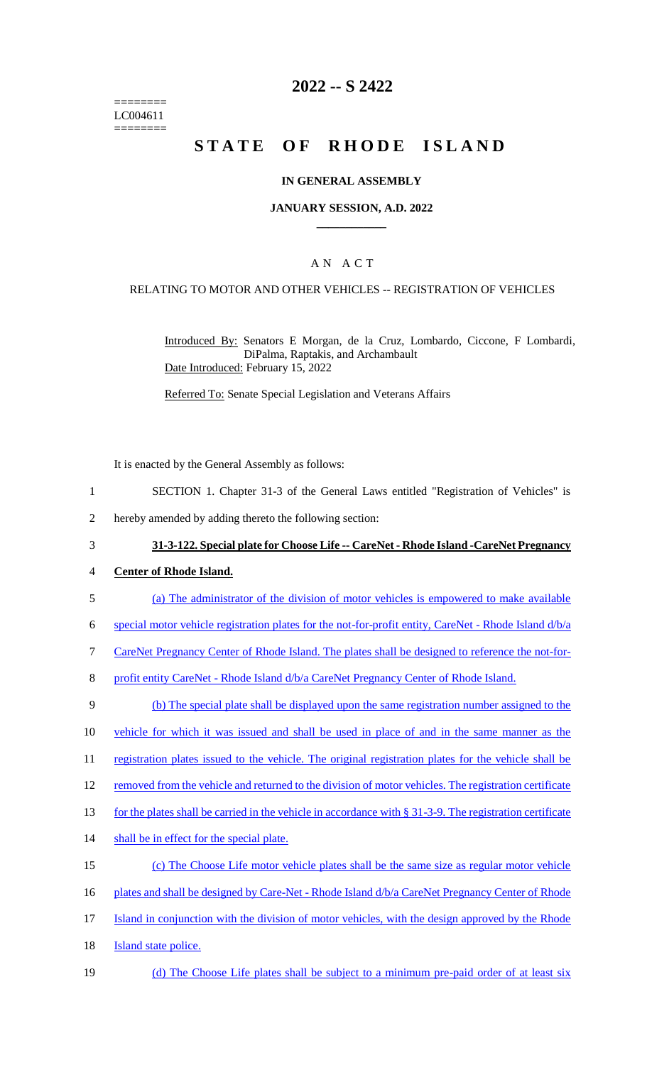======== LC004611 ========

# **2022 -- S 2422**

# **STATE OF RHODE ISLAND**

#### **IN GENERAL ASSEMBLY**

#### **JANUARY SESSION, A.D. 2022 \_\_\_\_\_\_\_\_\_\_\_\_**

### A N A C T

#### RELATING TO MOTOR AND OTHER VEHICLES -- REGISTRATION OF VEHICLES

Introduced By: Senators E Morgan, de la Cruz, Lombardo, Ciccone, F Lombardi, DiPalma, Raptakis, and Archambault Date Introduced: February 15, 2022

Referred To: Senate Special Legislation and Veterans Affairs

It is enacted by the General Assembly as follows:

- 1 SECTION 1. Chapter 31-3 of the General Laws entitled "Registration of Vehicles" is
- 2 hereby amended by adding thereto the following section:
- 3 **31-3-122. Special plate for Choose Life -- CareNet - Rhode Island -CareNet Pregnancy**
- 4 **Center of Rhode Island.**
- 5 (a) The administrator of the division of motor vehicles is empowered to make available
- 6 special motor vehicle registration plates for the not-for-profit entity, CareNet Rhode Island d/b/a
- 7 CareNet Pregnancy Center of Rhode Island. The plates shall be designed to reference the not-for-
- 8 profit entity CareNet Rhode Island  $d/b/a$  CareNet Pregnancy Center of Rhode Island.
- 9 (b) The special plate shall be displayed upon the same registration number assigned to the
- 10 vehicle for which it was issued and shall be used in place of and in the same manner as the
- 11 registration plates issued to the vehicle. The original registration plates for the vehicle shall be
- 12 removed from the vehicle and returned to the division of motor vehicles. The registration certificate
- 13 for the plates shall be carried in the vehicle in accordance with § 31-3-9. The registration certificate
- 14 shall be in effect for the special plate.
- 15 (c) The Choose Life motor vehicle plates shall be the same size as regular motor vehicle
- 16 plates and shall be designed by Care-Net Rhode Island  $d/b/a$  CareNet Pregnancy Center of Rhode
- 17 Island in conjunction with the division of motor vehicles, with the design approved by the Rhode
- 18 **Island state police.**
- 19 (d) The Choose Life plates shall be subject to a minimum pre-paid order of at least six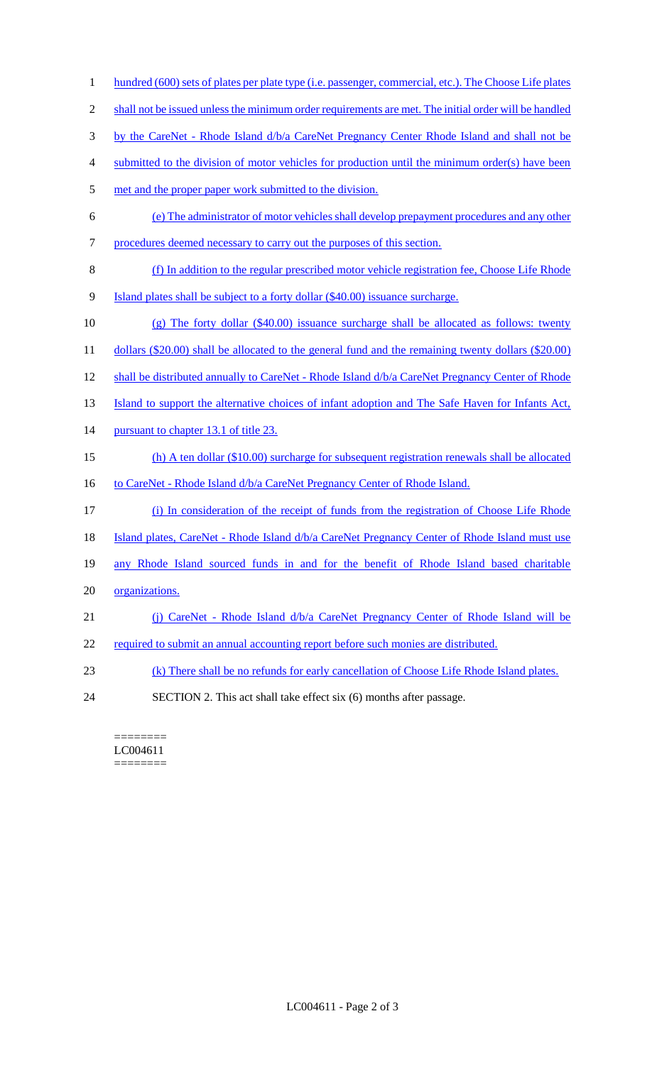shall not be issued unless the minimum order requirements are met. The initial order will be handled 3 by the CareNet - Rhode Island d/b/a CareNet Pregnancy Center Rhode Island and shall not be submitted to the division of motor vehicles for production until the minimum order(s) have been 5 met and the proper paper work submitted to the division. (e) The administrator of motor vehicles shall develop prepayment procedures and any other procedures deemed necessary to carry out the purposes of this section. (f) In addition to the regular prescribed motor vehicle registration fee, Choose Life Rhode Island plates shall be subject to a forty dollar (\$40.00) issuance surcharge. (g) The forty dollar (\$40.00) issuance surcharge shall be allocated as follows: twenty 11 dollars (\$20.00) shall be allocated to the general fund and the remaining twenty dollars (\$20.00) 12 shall be distributed annually to CareNet - Rhode Island  $d/b/a$  CareNet Pregnancy Center of Rhode 13 Island to support the alternative choices of infant adoption and The Safe Haven for Infants Act, 14 pursuant to chapter 13.1 of title 23. (h) A ten dollar (\$10.00) surcharge for subsequent registration renewals shall be allocated 16 to CareNet - Rhode Island d/b/a CareNet Pregnancy Center of Rhode Island. (i) In consideration of the receipt of funds from the registration of Choose Life Rhode 18 Island plates, CareNet - Rhode Island d/b/a CareNet Pregnancy Center of Rhode Island must use any Rhode Island sourced funds in and for the benefit of Rhode Island based charitable organizations. (j) CareNet - Rhode Island d/b/a CareNet Pregnancy Center of Rhode Island will be 22 required to submit an annual accounting report before such monies are distributed. (k) There shall be no refunds for early cancellation of Choose Life Rhode Island plates. SECTION 2. This act shall take effect six (6) months after passage.

1 hundred (600) sets of plates per plate type (i.e. passenger, commercial, etc.). The Choose Life plates

======== LC004611 ========